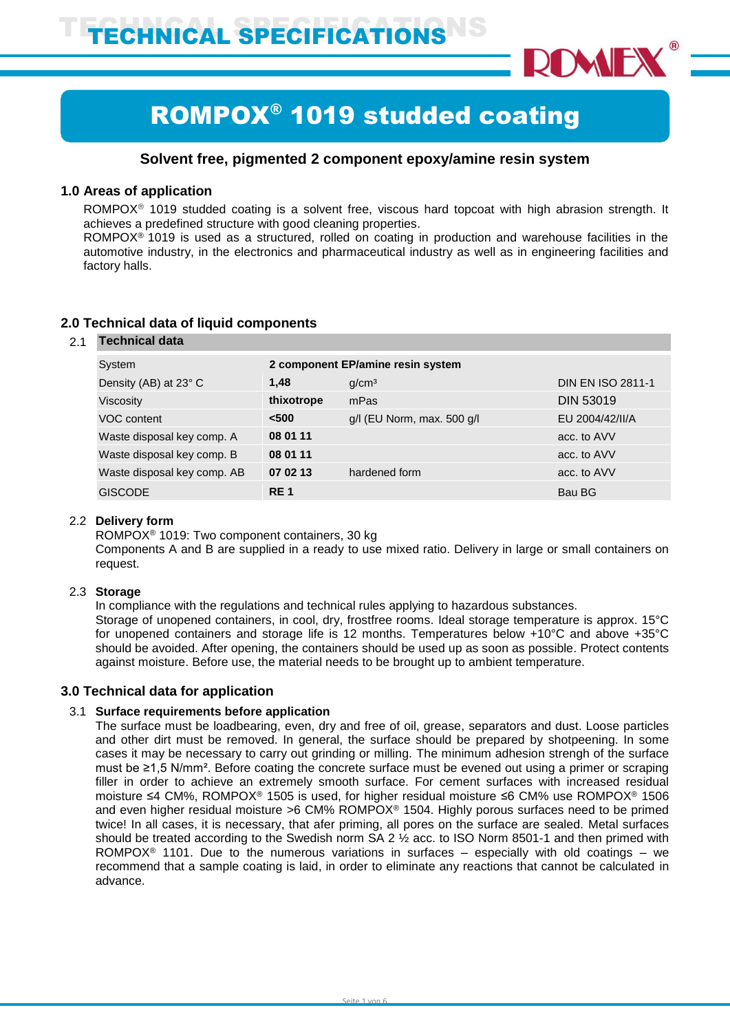

# ROMPOX® 1019 studded coating

# **Solvent free, pigmented 2 component epoxy/amine resin system**

## **1.0 Areas of application**

ROMPOX<sup>®</sup> 1019 studded coating is a solvent free, viscous hard topcoat with high abrasion strength. It achieves a predefined structure with good cleaning properties.

ROMPOX® 1019 is used as a structured, rolled on coating in production and warehouse facilities in the automotive industry, in the electronics and pharmaceutical industry as well as in engineering facilities and factory halls.

| 2.1 | Technical data              |                                   |                                |                          |  |
|-----|-----------------------------|-----------------------------------|--------------------------------|--------------------------|--|
|     | System                      | 2 component EP/amine resin system |                                |                          |  |
|     | Density (AB) at 23° C       | 1.48                              | g/cm <sup>3</sup>              | <b>DIN EN ISO 2811-1</b> |  |
|     | Viscosity                   | thixotrope                        | mPas                           | <b>DIN 53019</b>         |  |
|     | VOC content                 | < 500                             | $g/l$ (EU Norm, max. 500 $g/l$ | EU 2004/42/II/A          |  |
|     | Waste disposal key comp. A  | 08 01 11                          |                                | acc. to AVV              |  |
|     | Waste disposal key comp. B  | 08 01 11                          |                                | acc. to AVV              |  |
|     | Waste disposal key comp. AB | 07 02 13                          | hardened form                  | acc. to AVV              |  |
|     | <b>GISCODE</b>              | <b>RE1</b>                        |                                | Bau BG                   |  |
|     |                             |                                   |                                |                          |  |

# **2.0 Technical data of liquid components**

# 2.2 **Delivery form**

ROMPOX® 1019: Two component containers, 30 kg

Components A and B are supplied in a ready to use mixed ratio. Delivery in large or small containers on request.

#### 2.3 **Storage**

In compliance with the regulations and technical rules applying to hazardous substances.

Storage of unopened containers, in cool, dry, frostfree rooms. Ideal storage temperature is approx. 15°C for unopened containers and storage life is 12 months. Temperatures below +10°C and above +35°C should be avoided. After opening, the containers should be used up as soon as possible. Protect contents against moisture. Before use, the material needs to be brought up to ambient temperature.

#### **3.0 Technical data for application**

#### 3.1 **Surface requirements before application**

The surface must be loadbearing, even, dry and free of oil, grease, separators and dust. Loose particles and other dirt must be removed. In general, the surface should be prepared by shotpeening. In some cases it may be necessary to carry out grinding or milling. The minimum adhesion strengh of the surface must be ≥1,5 N/mm². Before coating the concrete surface must be evened out using a primer or scraping filler in order to achieve an extremely smooth surface. For cement surfaces with increased residual moisture ≤4 CM%, ROMPOX® 1505 is used, for higher residual moisture ≤6 CM% use ROMPOX® 1506 and even higher residual moisture >6 CM% ROMPOX<sup>®</sup> 1504. Highly porous surfaces need to be primed twice! In all cases, it is necessary, that afer priming, all pores on the surface are sealed. Metal surfaces should be treated according to the Swedish norm SA 2 ½ acc. to ISO Norm 8501-1 and then primed with ROMPOX<sup>®</sup> 1101. Due to the numerous variations in surfaces – especially with old coatings – we recommend that a sample coating is laid, in order to eliminate any reactions that cannot be calculated in advance.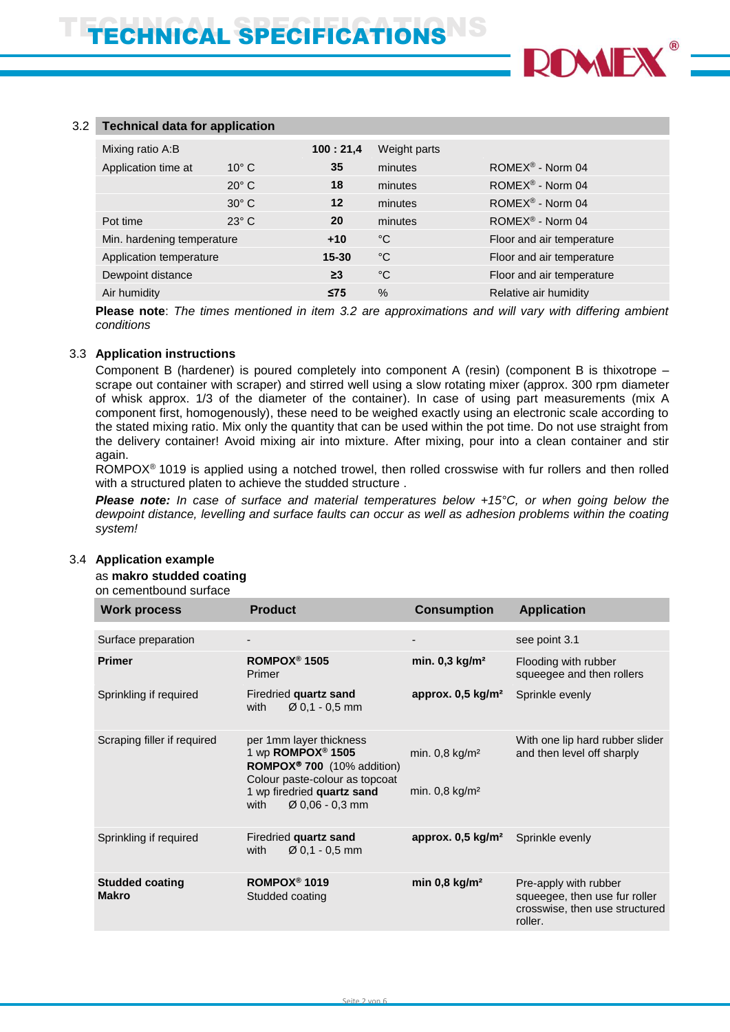

#### 3.2 **Technical data for application**

| Mixing ratio A:B                     |                | 100:21,4  | Weight parts              |                                |
|--------------------------------------|----------------|-----------|---------------------------|--------------------------------|
| Application time at                  | $10^{\circ}$ C | 35        | minutes                   | ROME $X^{\circledR}$ - Norm 04 |
|                                      | $20^{\circ}$ C | 18        | minutes                   | $ROMEX^{\circledR}$ - Norm 04  |
|                                      | $30^\circ$ C   | $12 \,$   | minutes                   | ROME $X^{\circledR}$ - Norm 04 |
| Pot time                             | $23^\circ$ C   | 20        | minutes                   | $ROMEX^{\circledR}$ - Norm 04  |
| Min. hardening temperature<br>$+10$  |                | °C        | Floor and air temperature |                                |
| Application temperature<br>$15 - 30$ |                |           | °C                        | Floor and air temperature      |
| Dewpoint distance                    |                | $\geq$ 3  | °C                        | Floor and air temperature      |
| Air humidity                         |                | $\leq$ 75 | $\%$                      | Relative air humidity          |

**Please note**: *The times mentioned in item 3.2 are approximations and will vary with differing ambient conditions*

#### 3.3 **Application instructions**

Component B (hardener) is poured completely into component A (resin) (component B is thixotrope – scrape out container with scraper) and stirred well using a slow rotating mixer (approx. 300 rpm diameter of whisk approx. 1/3 of the diameter of the container). In case of using part measurements (mix A component first, homogenously), these need to be weighed exactly using an electronic scale according to the stated mixing ratio. Mix only the quantity that can be used within the pot time. Do not use straight from the delivery container! Avoid mixing air into mixture. After mixing, pour into a clean container and stir again.

ROMPOX® 1019 is applied using a notched trowel, then rolled crosswise with fur rollers and then rolled with a structured platen to achieve the studded structure .

*Please note: In case of surface and material temperatures below +15°C, or when going below the dewpoint distance, levelling and surface faults can occur as well as adhesion problems within the coating system!*

#### as **makro studded coating** on cementbound surface **Work process Product Consumption Application** Surface preparation **Surface is a see point 3.1** Surface preparation **see point 3.1** Surface preparation **Surface is a see point 3.1 Primer ROMPOX® 1505** Primer **min. 0,3 kg/m²** Flooding with rubber squeegee and then rollers Sprinkling if required Firedried **quartz sand** with Ø 0,1 - 0,5 mm **approx. 0,5 kg/m²** Sprinkle evenly Scraping filler if required per 1mm layer thickness 1 wp **ROMPOX® 1505 ROMPOX 700** (10% addition) Colour paste-colour as topcoat 1 wp firedried **quartz sand** with Ø 0,06 - 0,3 mm min. 0,8 kg/m² min. 0,8 kg/m² With one lip hard rubber slider and then level off sharply Sprinkling if required Firedried quartz sand with  $\emptyset$  0,1 - 0,5 mm **approx. 0,5 kg/m²** Sprinkle evenly **Studded coating Makro ROMPOX® 1019** Studded coating **min 0,8 kg/m<sup>2</sup>** Pre-apply with rubber squeegee, then use fur roller crosswise, then use structured roller.

#### 3.4 **Application example**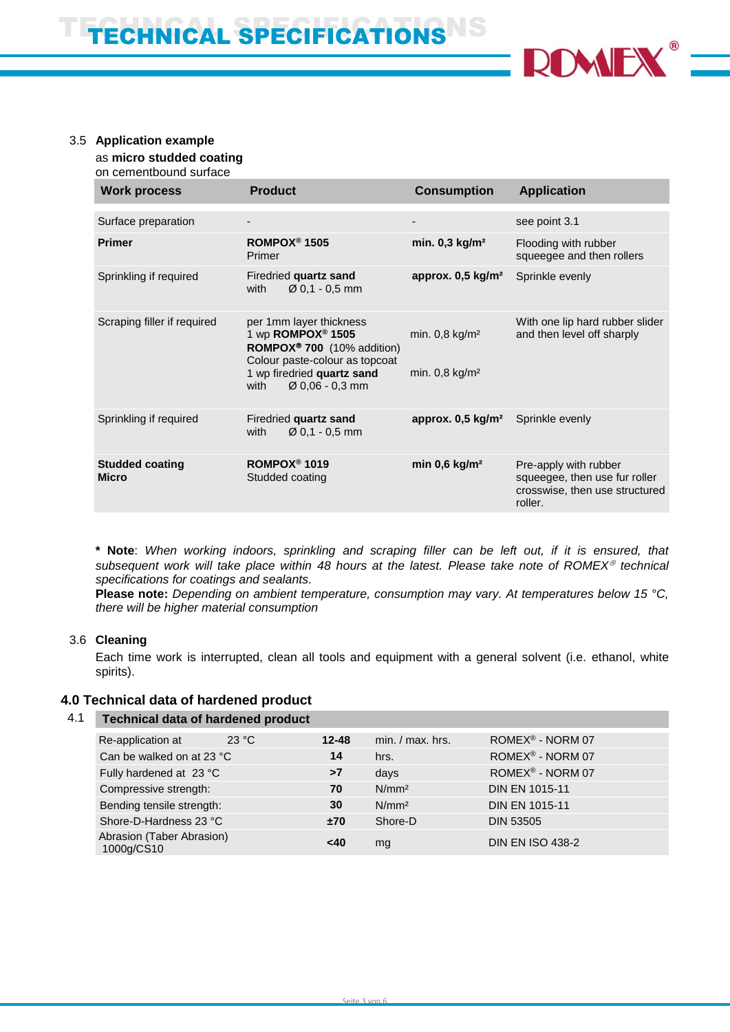

#### 3.5 **Application example**

as **micro studded coating**

on cementbound surface

| <b>Work process</b>                    | <b>Product</b>                                                                                                                                                                                            | <b>Consumption</b>                                           | <b>Application</b>                                                                                  |
|----------------------------------------|-----------------------------------------------------------------------------------------------------------------------------------------------------------------------------------------------------------|--------------------------------------------------------------|-----------------------------------------------------------------------------------------------------|
|                                        |                                                                                                                                                                                                           |                                                              |                                                                                                     |
| Surface preparation                    |                                                                                                                                                                                                           |                                                              | see point 3.1                                                                                       |
| <b>Primer</b>                          | ROMPOX <sup>®</sup> 1505<br>Primer                                                                                                                                                                        | min. 0,3 kg/m <sup>2</sup>                                   | Flooding with rubber<br>squeegee and then rollers                                                   |
| Sprinkling if required                 | Firedried quartz sand<br>$\varnothing$ 0.1 - 0.5 mm<br>with                                                                                                                                               | approx. $0,5$ kg/m <sup>2</sup>                              | Sprinkle evenly                                                                                     |
| Scraping filler if required            | per 1mm layer thickness<br>1 wp ROMPOX <sup>®</sup> 1505<br>ROMPOX <sup>®</sup> 700 (10% addition)<br>Colour paste-colour as topcoat<br>1 wp firedried quartz sand<br>$\varnothing$ 0,06 - 0,3 mm<br>with | min. $0,8$ kg/m <sup>2</sup><br>min. $0.8$ kg/m <sup>2</sup> | With one lip hard rubber slider<br>and then level off sharply                                       |
| Sprinkling if required                 | Firedried quartz sand<br>$\varnothing$ 0.1 - 0.5 mm<br>with                                                                                                                                               | approx. $0,5 \text{ kg/m}^2$                                 | Sprinkle evenly                                                                                     |
| <b>Studded coating</b><br><b>Micro</b> | ROMPOX <sup>®</sup> 1019<br>Studded coating                                                                                                                                                               | min $0,6$ kg/m <sup>2</sup>                                  | Pre-apply with rubber<br>squeegee, then use fur roller<br>crosswise, then use structured<br>roller. |

**\* Note**: *When working indoors, sprinkling and scraping filler can be left out, if it is ensured, that subsequent work will take place within 48 hours at the latest. Please take note of ROMEX technical specifications for coatings and sealants.*

**Please note:** *Depending on ambient temperature, consumption may vary. At temperatures below 15 °C, there will be higher material consumption*

#### 3.6 **Cleaning**

Each time work is interrupted, clean all tools and equipment with a general solvent (i.e. ethanol, white spirits).

# **4.0 Technical data of hardened product**

| 4.1 | <b>Technical data of hardened product</b> |       |           |                    |                              |
|-----|-------------------------------------------|-------|-----------|--------------------|------------------------------|
|     | Re-application at                         | 23 °C | $12 - 48$ | $min. / max.$ hrs. | ROMEX <sup>®</sup> - NORM 07 |
|     | Can be walked on at 23 °C                 |       | 14        | hrs.               | ROMEX® - NORM 07             |
|     | Fully hardened at 23 °C                   |       | >7        | days               | ROMEX <sup>®</sup> - NORM 07 |
|     | Compressive strength:                     |       | 70        | N/mm <sup>2</sup>  | <b>DIN EN 1015-11</b>        |
|     | Bending tensile strength:                 |       | 30        | N/mm <sup>2</sup>  | <b>DIN EN 1015-11</b>        |
|     | Shore-D-Hardness 23 °C                    |       | ±70       | Shore-D            | <b>DIN 53505</b>             |
|     | Abrasion (Taber Abrasion)<br>1000g/CS10   |       | <40       | mg                 | <b>DIN EN ISO 438-2</b>      |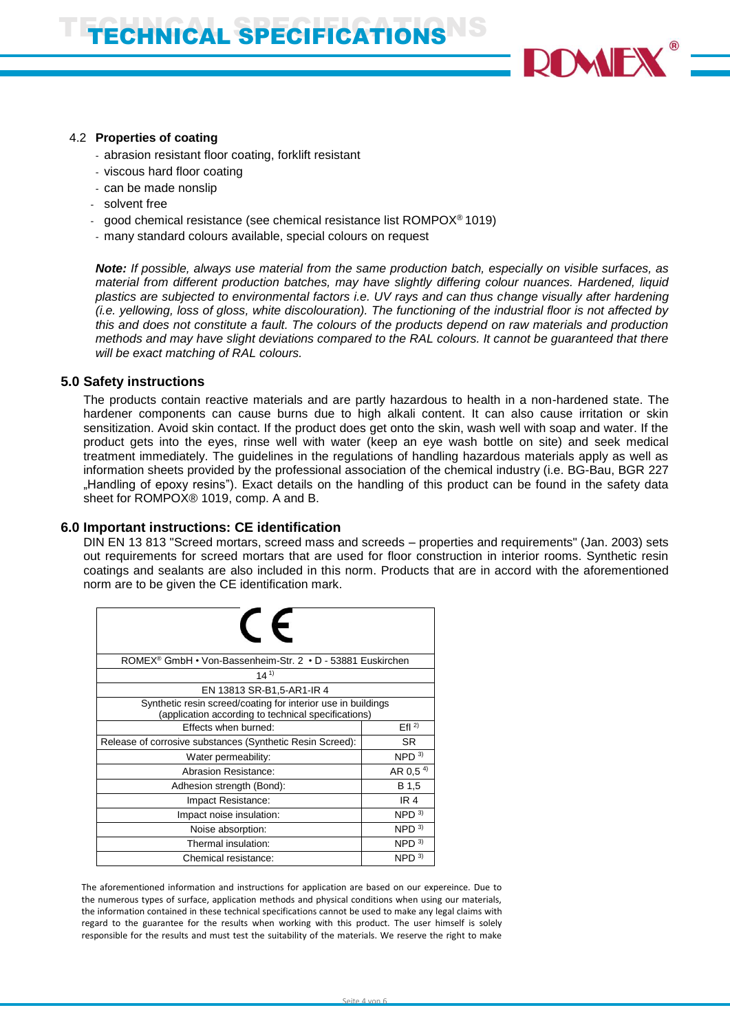

#### 4.2 **Properties of coating**

- abrasion resistant floor coating, forklift resistant
- viscous hard floor coating
- can be made nonslip
- solvent free
- good chemical resistance (see chemical resistance list ROMPOX<sup>®</sup> 1019)
- many standard colours available, special colours on request

*Note: If possible, always use material from the same production batch, especially on visible surfaces, as material from different production batches, may have slightly differing colour nuances. Hardened, liquid plastics are subjected to environmental factors i.e. UV rays and can thus change visually after hardening (i.e. yellowing, loss of gloss, white discolouration). The functioning of the industrial floor is not affected by this and does not constitute a fault. The colours of the products depend on raw materials and production methods and may have slight deviations compared to the RAL colours. It cannot be guaranteed that there will be exact matching of RAL colours.*

#### **5.0 Safety instructions**

The products contain reactive materials and are partly hazardous to health in a non-hardened state. The hardener components can cause burns due to high alkali content. It can also cause irritation or skin sensitization. Avoid skin contact. If the product does get onto the skin, wash well with soap and water. If the product gets into the eyes, rinse well with water (keep an eye wash bottle on site) and seek medical treatment immediately. The guidelines in the regulations of handling hazardous materials apply as well as information sheets provided by the professional association of the chemical industry (i.e. BG-Bau, BGR 227 "Handling of epoxy resins"). Exact details on the handling of this product can be found in the safety data sheet for ROMPOX® 1019, comp. A and B.

#### **6.0 Important instructions: CE identification**

DIN EN 13 813 "Screed mortars, screed mass and screeds – properties and requirements" (Jan. 2003) sets out requirements for screed mortars that are used for floor construction in interior rooms. Synthetic resin coatings and sealants are also included in this norm. Products that are in accord with the aforementioned norm are to be given the CE identification mark.

| $\epsilon$                                                                                                          |                      |  |  |
|---------------------------------------------------------------------------------------------------------------------|----------------------|--|--|
| ROMEX <sup>®</sup> GmbH • Von-Bassenheim-Str. 2 • D - 53881 Euskirchen                                              |                      |  |  |
| $14^{1}$                                                                                                            |                      |  |  |
| EN 13813 SR-B1,5-AR1-IR 4                                                                                           |                      |  |  |
| Synthetic resin screed/coating for interior use in buildings<br>(application according to technical specifications) |                      |  |  |
| Effects when burned:                                                                                                | Efl <sup>2</sup>     |  |  |
| Release of corrosive substances (Synthetic Resin Screed):                                                           | <b>SR</b>            |  |  |
| Water permeability:                                                                                                 | NPD <sup>3</sup>     |  |  |
| Abrasion Resistance:                                                                                                | AR 0.5 <sup>4)</sup> |  |  |
| Adhesion strength (Bond):                                                                                           | B 1,5                |  |  |
| Impact Resistance:                                                                                                  | IR <sub>4</sub>      |  |  |
| Impact noise insulation:                                                                                            | NPD <sup>3</sup>     |  |  |
| Noise absorption:                                                                                                   | NPD <sup>3</sup>     |  |  |
| Thermal insulation:                                                                                                 | NPD <sup>3</sup>     |  |  |
| Chemical resistance:                                                                                                | NPD <sup>3</sup>     |  |  |

The aforementioned information and instructions for application are based on our expereince. Due to the numerous types of surface, application methods and physical conditions when using our materials, the information contained in these technical specifications cannot be used to make any legal claims with regard to the guarantee for the results when working with this product. The user himself is solely responsible for the results and must test the suitability of the materials. We reserve the right to make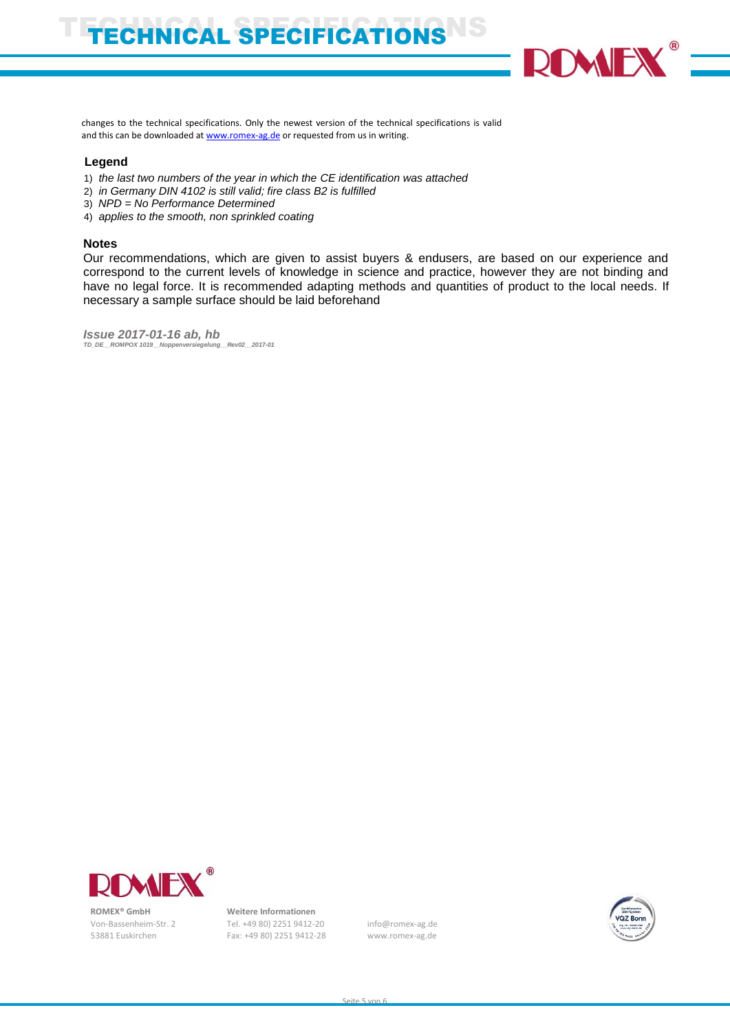# ECHNICAL SPECIFICATIONS



changes to the technical specifications. Only the newest version of the technical specifications is valid and this can be downloaded at [www.romex-ag.de](http://www.romex-ag.de/) or requested from us in writing.

#### **Legend**

- 1) *the last two numbers of the year in which the CE identification was attached*
- 2) *in Germany DIN 4102 is still valid; fire class B2 is fulfilled*
- 3) *NPD = No Performance Determined*
- 4) *applies to the smooth, non sprinkled coating*

#### **Notes**

Our recommendations, which are given to assist buyers & endusers, are based on our experience and correspond to the current levels of knowledge in science and practice, however they are not binding and have no legal force. It is recommended adapting methods and quantities of product to the local needs. If necessary a sample surface should be laid beforehand

*Issue 2017-01-16 ab, hb*<br>*ID\_DE\_ROMPOX 1019\_Noppenversiegelung\_Rev02\_2017-01 TD\_DE\_\_ROMPOX 1019\_Noppenv* 



 **ROMEX® GmbH Weitere Informationen**

 Von-Bassenheim-Str. 2 Tel. +49 80) 2251 9412-20 info@romex-ag.de 53881 Euskirchen Fax: +49 80) 2251 9412-28 www.romex-ag.de